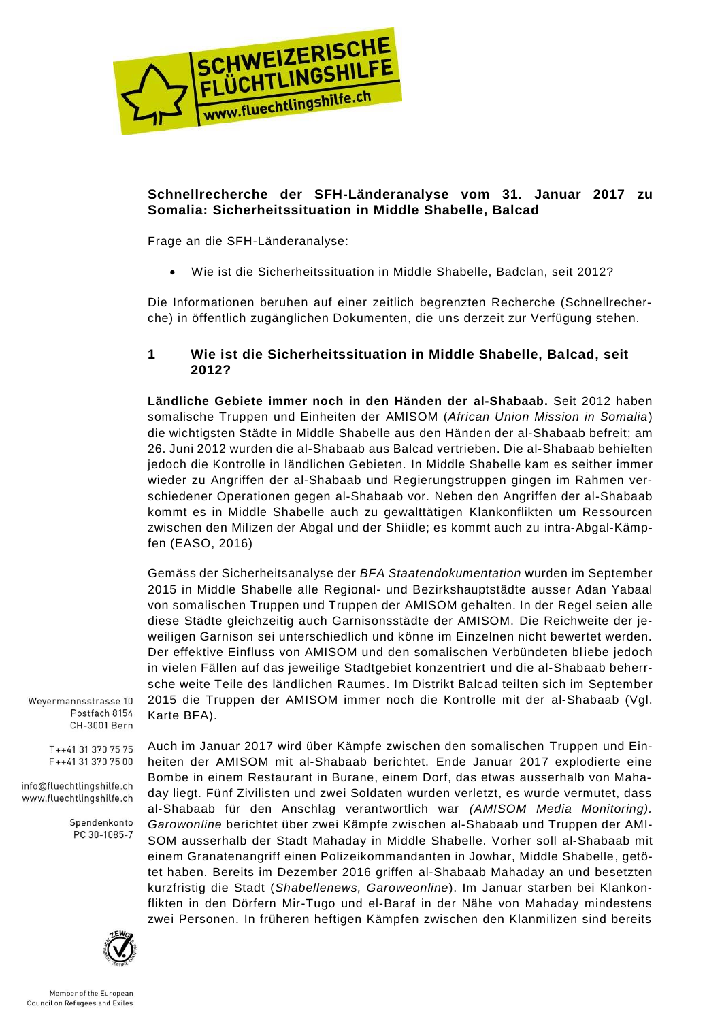

# **Schnellrecherche der SFH-Länderanalyse vom 31. Januar 2017 zu Somalia: Sicherheitssituation in Middle Shabelle, Balcad**

Frage an die SFH-Länderanalyse:

Wie ist die Sicherheitssituation in Middle Shabelle, Badclan, seit 2012?

Die Informationen beruhen auf einer zeitlich begrenzten Recherche (Schnellrecherche) in öffentlich zugänglichen Dokumenten, die uns derzeit zur Verfügung stehen.

## **1 Wie ist die Sicherheitssituation in Middle Shabelle, Balcad, seit 2012?**

**Ländliche Gebiete immer noch in den Händen der al-Shabaab.** Seit 2012 haben somalische Truppen und Einheiten der AMISOM (*African Union Mission in Somalia*) die wichtigsten Städte in Middle Shabelle aus den Händen der al-Shabaab befreit; am 26. Juni 2012 wurden die al-Shabaab aus Balcad vertrieben. Die al-Shabaab behielten jedoch die Kontrolle in ländlichen Gebieten. In Middle Shabelle kam es seither immer wieder zu Angriffen der al-Shabaab und Regierungstruppen gingen im Rahmen verschiedener Operationen gegen al-Shabaab vor. Neben den Angriffen der al-Shabaab kommt es in Middle Shabelle auch zu gewalttätigen Klankonflikten um Ressourcen zwischen den Milizen der Abgal und der Shiidle; es kommt auch zu intra-Abgal-Kämpfen (EASO, 2016)

Gemäss der Sicherheitsanalyse der *BFA Staatendokumentation* wurden im September 2015 in Middle Shabelle alle Regional- und Bezirkshauptstädte ausser Adan Yabaal von somalischen Truppen und Truppen der AMISOM gehalten. In der Regel seien alle diese Städte gleichzeitig auch Garnisonsstädte der AMISOM. Die Reichweite der jeweiligen Garnison sei unterschiedlich und könne im Einzelnen nicht bewertet werden. Der effektive Einfluss von AMISOM und den somalischen Verbündeten bliebe jedoch in vielen Fällen auf das jeweilige Stadtgebiet konzentriert und die al-Shabaab beherrsche weite Teile des ländlichen Raumes. Im Distrikt Balcad teilten sich im September 2015 die Truppen der AMISOM immer noch die Kontrolle mit der al-Shabaab (Vgl. Karte BFA).

Weyermannsstrasse 10 Postfach 8154 CH-3001 Bern

> T++41 31 370 75 75 F++41 31 370 75 00

info@fluechtlingshilfe.ch www.fluechtlingshilfe.ch

> Spendenkonto PC 30-1085-7

Auch im Januar 2017 wird über Kämpfe zwischen den somalischen Truppen und Einheiten der AMISOM mit al-Shabaab berichtet. Ende Januar 2017 explodierte eine Bombe in einem Restaurant in Burane, einem Dorf, das etwas ausserhalb von Mahaday liegt. Fünf Zivilisten und zwei Soldaten wurden verletzt, es wurde vermutet, dass al-Shabaab für den Anschlag verantwortlich war *(AMISOM Media Monitoring). Garowonline* berichtet über zwei Kämpfe zwischen al-Shabaab und Truppen der AMI-SOM ausserhalb der Stadt Mahaday in Middle Shabelle. Vorher soll al-Shabaab mit einem Granatenangriff einen Polizeikommandanten in Jowhar, Middle Shabelle, getötet haben. Bereits im Dezember 2016 griffen al-Shabaab Mahaday an und besetzten kurzfristig die Stadt (*Shabellenews, Garoweonline*). Im Januar starben bei Klankonflikten in den Dörfern Mir-Tugo und el-Baraf in der Nähe von Mahaday mindestens zwei Personen. In früheren heftigen Kämpfen zwischen den Klanmilizen sind bereits

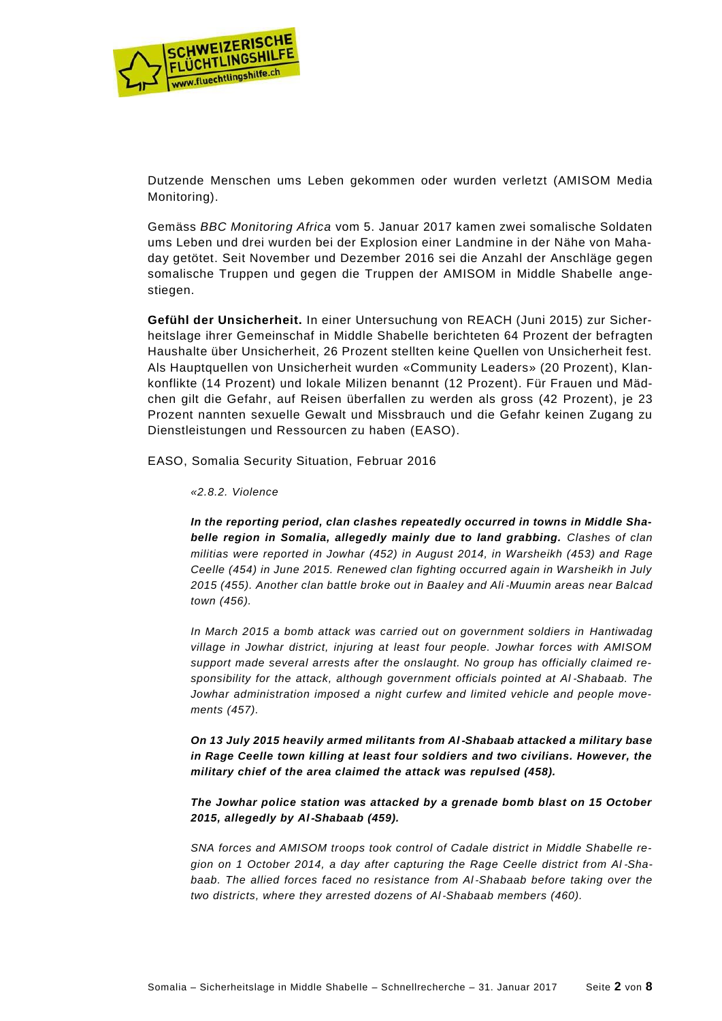

Dutzende Menschen ums Leben gekommen oder wurden verletzt (AMISOM Media Monitoring).

Gemäss *BBC Monitoring Africa* vom 5. Januar 2017 kamen zwei somalische Soldaten ums Leben und drei wurden bei der Explosion einer Landmine in der Nähe von Mahaday getötet. Seit November und Dezember 2016 sei die Anzahl der Anschläge gegen somalische Truppen und gegen die Truppen der AMISOM in Middle Shabelle angestiegen.

**Gefühl der Unsicherheit.** In einer Untersuchung von REACH (Juni 2015) zur Sicherheitslage ihrer Gemeinschaf in Middle Shabelle berichteten 64 Prozent der befragten Haushalte über Unsicherheit, 26 Prozent stellten keine Quellen von Unsicherheit fest. Als Hauptquellen von Unsicherheit wurden «Community Leaders» (20 Prozent), Klankonflikte (14 Prozent) und lokale Milizen benannt (12 Prozent). Für Frauen und Mädchen gilt die Gefahr, auf Reisen überfallen zu werden als gross (42 Prozent), je 23 Prozent nannten sexuelle Gewalt und Missbrauch und die Gefahr keinen Zugang zu Dienstleistungen und Ressourcen zu haben (EASO).

EASO, Somalia Security Situation, Februar 2016

*«2.8.2. Violence*

*In the reporting period, clan clashes repeatedly occurred in towns in Middle Shabelle region in Somalia, allegedly mainly due to land grabbing. Clashes of clan militias were reported in Jowhar (452) in August 2014, in Warsheikh (453) and Rage Ceelle (454) in June 2015. Renewed clan fighting occurred again in Warsheikh in July 2015 (455). Another clan battle broke out in Baaley and Ali*‑*Muumin areas near Balcad town (456).*

*In March 2015 a bomb attack was carried out on government soldiers in Hantiwadag village in Jowhar district, injuring at least four people. Jowhar forces with AMISOM support made several arrests after the onslaught. No group has officially claimed responsibility for the attack, although government officials pointed at Al*‑*Shabaab. The Jowhar administration imposed a night curfew and limited vehicle and people movements (457).*

*On 13 July 2015 heavily armed militants from Al*‑*Shabaab attacked a military base in Rage Ceelle town killing at least four soldiers and two civilians. However, the military chief of the area claimed the attack was repulsed (458).*

*The Jowhar police station was attacked by a grenade bomb blast on 15 October 2015, allegedly by Al*‑*Shabaab (459).*

*SNA forces and AMISOM troops took control of Cadale district in Middle Shabelle region on 1 October 2014, a day after capturing the Rage Ceelle district from Al*‑*Shabaab. The allied forces faced no resistance from Al*‑*Shabaab before taking over the two districts, where they arrested dozens of Al*‑*Shabaab members (460).*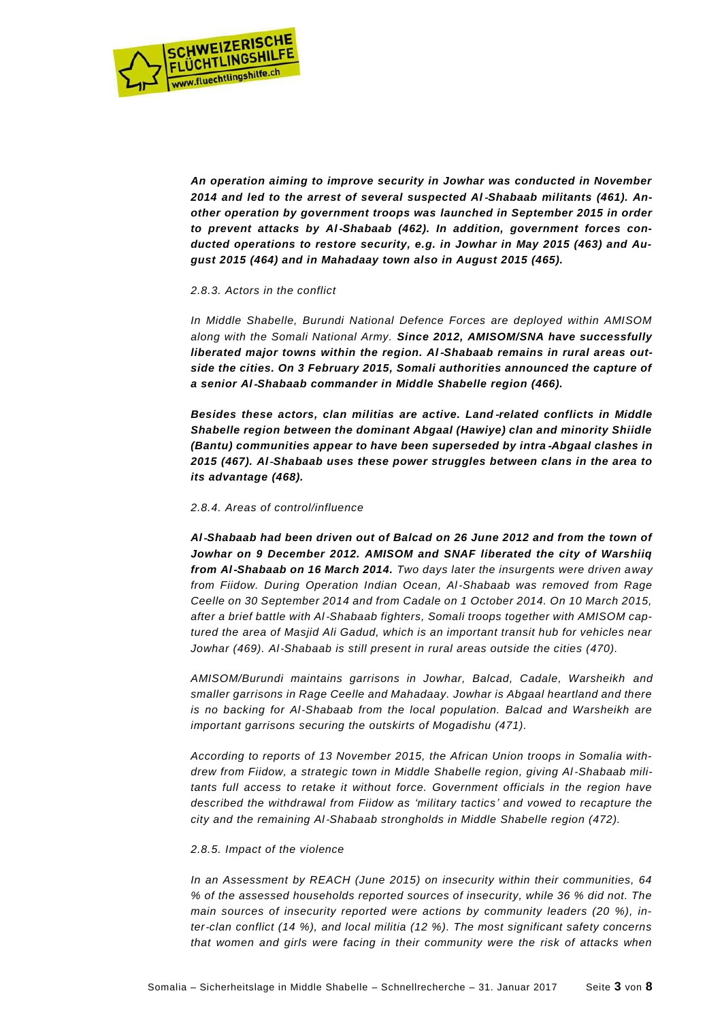

*An operation aiming to improve security in Jowhar was conducted in November 2014 and led to the arrest of several suspected Al*‑*Shabaab militants (461). Another operation by government troops was launched in September 2015 in order to prevent attacks by Al*‑*Shabaab (462). In addition, government forces conducted operations to restore security, e.g. in Jowhar in May 2015 (463) and August 2015 (464) and in Mahadaay town also in August 2015 (465).*

### *2.8.3. Actors in the conflict*

*In Middle Shabelle, Burundi National Defence Forces are deployed within AMISOM along with the Somali National Army. Since 2012, AMISOM/SNA have successfully liberated major towns within the region. Al*‑*Shabaab remains in rural areas outside the cities. On 3 February 2015, Somali authorities announced the capture of a senior Al*‑*Shabaab commander in Middle Shabelle region (466).*

*Besides these actors, clan militias are active. Land*‑*related conflicts in Middle Shabelle region between the dominant Abgaal (Hawiye) clan and minority Shiidle (Bantu) communities appear to have been superseded by intra*‑*Abgaal clashes in 2015 (467). Al*‑*Shabaab uses these power struggles between clans in the area to its advantage (468).*

#### *2.8.4. Areas of control/influence*

*Al*‑*Shabaab had been driven out of Balcad on 26 June 2012 and from the town of Jowhar on 9 December 2012. AMISOM and SNAF liberated the city of Warshiiq from Al*‑*Shabaab on 16 March 2014. Two days later the insurgents were driven away from Fiidow. During Operation Indian Ocean, Al*‑*Shabaab was removed from Rage Ceelle on 30 September 2014 and from Cadale on 1 October 2014. On 10 March 2015, after a brief battle with Al*‑*Shabaab fighters, Somali troops together with AMISOM captured the area of Masjid Ali Gadud, which is an important transit hub for vehicles near Jowhar (469). Al*‑*Shabaab is still present in rural areas outside the cities (470).*

*AMISOM/Burundi maintains garrisons in Jowhar, Balcad, Cadale, Warsheikh and smaller garrisons in Rage Ceelle and Mahadaay. Jowhar is Abgaal heartland and there is no backing for Al*‑*Shabaab from the local population. Balcad and Warsheikh are important garrisons securing the outskirts of Mogadishu (471).*

*According to reports of 13 November 2015, the African Union troops in Somalia withdrew from Fiidow, a strategic town in Middle Shabelle region, giving Al*‑*Shabaab militants full access to retake it without force. Government officials in the region have described the withdrawal from Fiidow as 'military tactics' and vowed to recapture the city and the remaining Al*‑*Shabaab strongholds in Middle Shabelle region (472).*

#### *2.8.5. Impact of the violence*

*In an Assessment by REACH (June 2015) on insecurity within their communities, 64 % of the assessed households reported sources of insecurity, while 36 % did not. The main sources of insecurity reported were actions by community leaders (20 %), inter*‑*clan conflict (14 %), and local militia (12 %). The most significant safety concerns that women and girls were facing in their community were the risk of attacks when*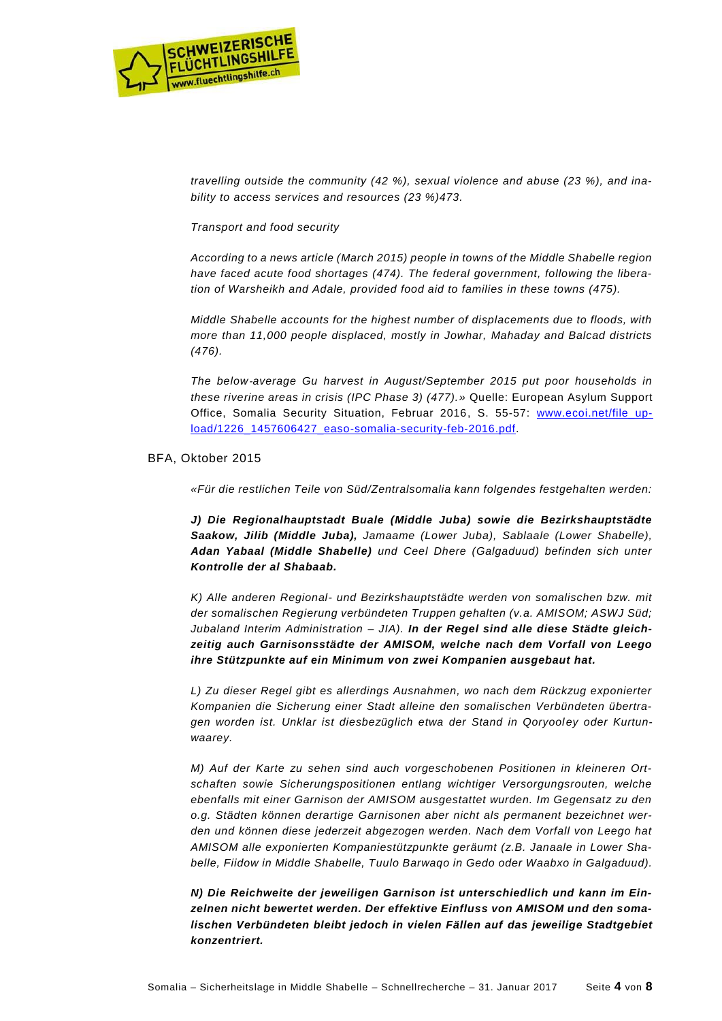

*travelling outside the community (42 %), sexual violence and abuse (23 %), and inability to access services and resources (23 %)473.*

## *Transport and food security*

*According to a news article (March 2015) people in towns of the Middle Shabelle region have faced acute food shortages (474). The federal government, following the liberation of Warsheikh and Adale, provided food aid to families in these towns (475).*

*Middle Shabelle accounts for the highest number of displacements due to floods, with more than 11,000 people displaced, mostly in Jowhar, Mahaday and Balcad districts (476).*

*The below*‑*average Gu harvest in August/September 2015 put poor households in these riverine areas in crisis (IPC Phase 3) (477).»* Quelle: European Asylum Support Office, Somalia Security Situation, Februar 2016, S. 55-57: [www.ecoi.net/file\\_up](http://www.ecoi.net/file_upload/1226_1457606427_easo-somalia-security-feb-2016.pdf)[load/1226\\_1457606427\\_easo-somalia-security-feb-2016.pdf.](http://www.ecoi.net/file_upload/1226_1457606427_easo-somalia-security-feb-2016.pdf)

## BFA, Oktober 2015

*«Für die restlichen Teile von Süd/Zentralsomalia kann folgendes festgehalten werden:*

*J) Die Regionalhauptstadt Buale (Middle Juba) sowie die Bezirkshauptstädte Saakow, Jilib (Middle Juba), Jamaame (Lower Juba), Sablaale (Lower Shabelle), Adan Yabaal (Middle Shabelle) und Ceel Dhere (Galgaduud) befinden sich unter Kontrolle der al Shabaab.*

*K) Alle anderen Regional- und Bezirkshauptstädte werden von somalischen bzw. mit der somalischen Regierung verbündeten Truppen gehalten (v.a. AMISOM; ASWJ Süd; Jubaland Interim Administration – JIA). In der Regel sind alle diese Städte gleichzeitig auch Garnisonsstädte der AMISOM, welche nach dem Vorfall von Leego ihre Stützpunkte auf ein Minimum von zwei Kompanien ausgebaut hat.*

*L) Zu dieser Regel gibt es allerdings Ausnahmen, wo nach dem Rückzug exponierter Kompanien die Sicherung einer Stadt alleine den somalischen Verbündeten übertragen worden ist. Unklar ist diesbezüglich etwa der Stand in Qoryooley oder Kurtunwaarey.*

*M) Auf der Karte zu sehen sind auch vorgeschobenen Positionen in kleineren Ortschaften sowie Sicherungspositionen entlang wichtiger Versorgungsrouten, welche ebenfalls mit einer Garnison der AMISOM ausgestattet wurden. Im Gegensatz zu den o.g. Städten können derartige Garnisonen aber nicht als permanent bezeichnet werden und können diese jederzeit abgezogen werden. Nach dem Vorfall von Leego hat AMISOM alle exponierten Kompaniestützpunkte geräumt (z.B. Janaale in Lower Shabelle, Fiidow in Middle Shabelle, Tuulo Barwaqo in Gedo oder Waabxo in Galgaduud).*

*N) Die Reichweite der jeweiligen Garnison ist unterschiedlich und kann im Einzelnen nicht bewertet werden. Der effektive Einfluss von AMISOM und den somalischen Verbündeten bleibt jedoch in vielen Fällen auf das jeweilige Stadtgebiet konzentriert.*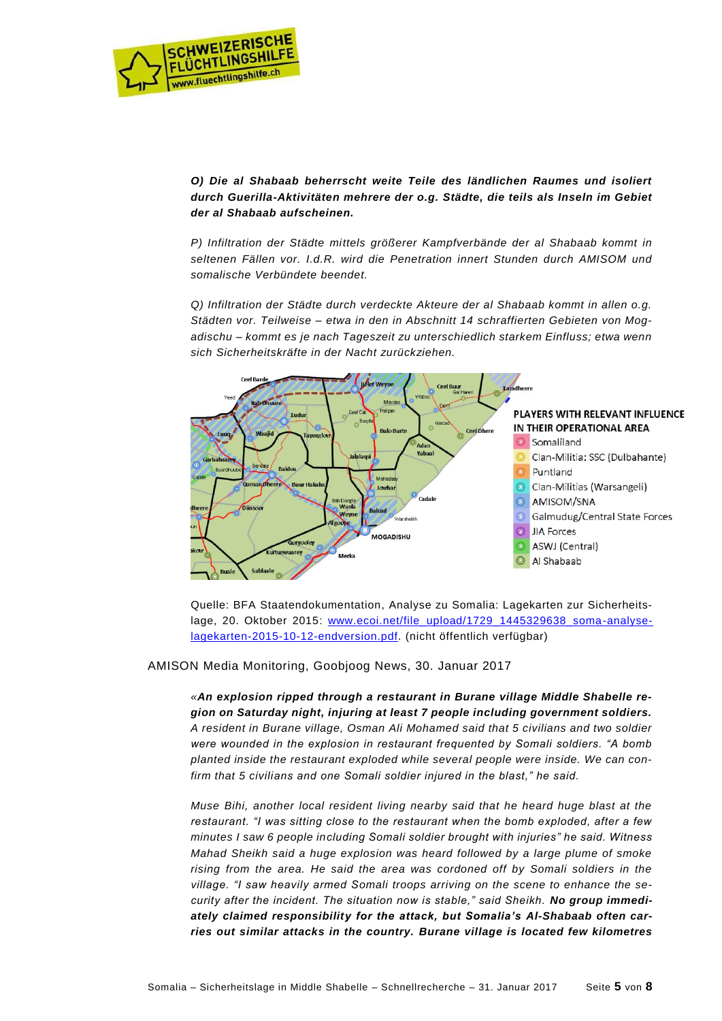

*O) Die al Shabaab beherrscht weite Teile des ländlichen Raumes und isoliert durch Guerilla-Aktivitäten mehrere der o.g. Städte, die teils als Inseln im Gebiet der al Shabaab aufscheinen.*

*P) Infiltration der Städte mittels größerer Kampfverbände der al Shabaab kommt in seltenen Fällen vor. I.d.R. wird die Penetration innert Stunden durch AMISOM und somalische Verbündete beendet.*

*Q) Infiltration der Städte durch verdeckte Akteure der al Shabaab kommt in allen o.g. Städten vor. Teilweise – etwa in den in Abschnitt 14 schraffierten Gebieten von Mogadischu – kommt es je nach Tageszeit zu unterschiedlich starkem Einfluss; etwa wenn sich Sicherheitskräfte in der Nacht zurückziehen.*



Quelle: BFA Staatendokumentation, Analyse zu Somalia: Lagekarten zur Sicherheitslage, 20. Oktober 2015: [www.ecoi.net/file\\_upload/1729\\_1445329638\\_soma-analyse](http://www.ecoi.net/file_upload/1729_1445329638_soma-analyse-lagekarten-2015-10-12-endversion.pdf)[lagekarten-2015-10-12-endversion.pdf.](http://www.ecoi.net/file_upload/1729_1445329638_soma-analyse-lagekarten-2015-10-12-endversion.pdf) (nicht öffentlich verfügbar)

AMISON Media Monitoring, Goobjoog News, 30. Januar 2017

*«An explosion ripped through a restaurant in Burane village Middle Shabelle region on Saturday night, injuring at least 7 people including government soldiers. A resident in Burane village, Osman Ali Mohamed said that 5 civilians and two soldier were wounded in the explosion in restaurant frequented by Somali soldiers. "A bomb planted inside the restaurant exploded while several people were inside. We can confirm that 5 civilians and one Somali soldier injured in the blast," he said.*

*Muse Bihi, another local resident living nearby said that he heard huge blast at the restaurant. "I was sitting close to the restaurant when the bomb exploded, after a few minutes I saw 6 people including Somali soldier brought with injuries" he said. Witness Mahad Sheikh said a huge explosion was heard followed by a large plume of smoke rising from the area. He said the area was cordoned off by Somali soldiers in the village. "I saw heavily armed Somali troops arriving on the scene to enhance the security after the incident. The situation now is stable," said Sheikh. No group immediately claimed responsibility for the attack, but Somalia's Al-Shabaab often carries out similar attacks in the country. Burane village is located few kilometres*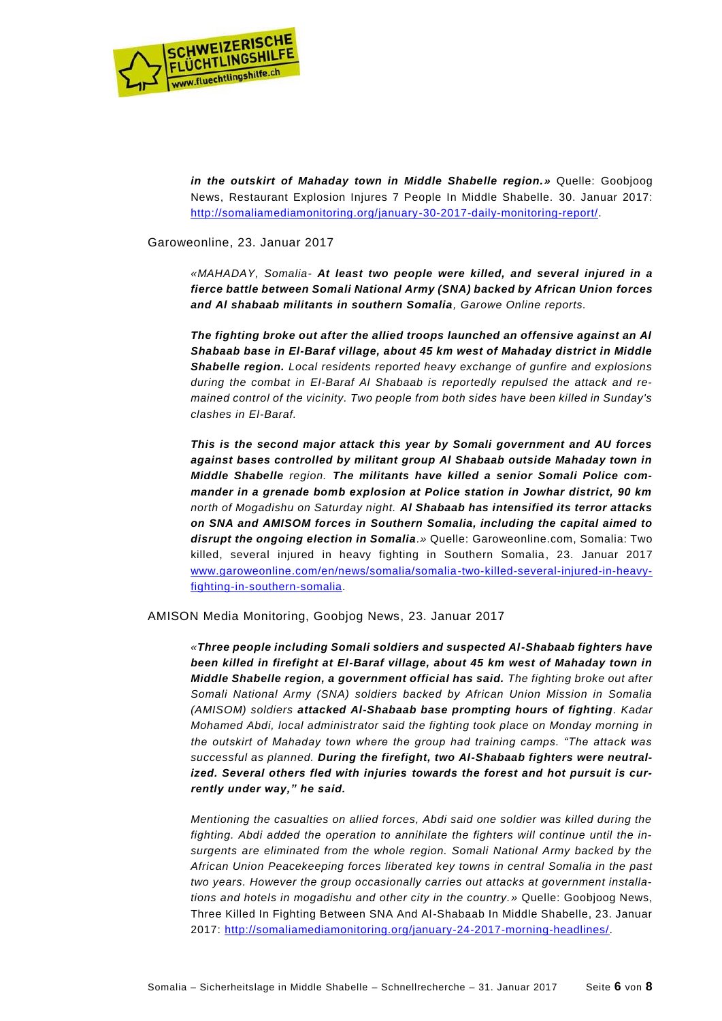

*in the outskirt of Mahaday town in Middle Shabelle region.»* Quelle: Goobjoog News, Restaurant Explosion Injures 7 People In Middle Shabelle. 30. Januar 2017: [http://somaliamediamonitoring.org/january-30-2017-daily-monitoring-report/.](http://somaliamediamonitoring.org/january-30-2017-daily-monitoring-report/)

Garoweonline, 23. Januar 2017

*«MAHADAY, Somalia- At least two people were killed, and several injured in a fierce battle between Somali National Army (SNA) backed by African Union forces and Al shabaab militants in southern Somalia, Garowe Online reports.*

*The fighting broke out after the allied troops launched an offensive against an Al Shabaab base in El-Baraf village, about 45 km west of Mahaday district in Middle Shabelle region. Local residents reported heavy exchange of gunfire and explosions during the combat in El-Baraf Al Shabaab is reportedly repulsed the attack and remained control of the vicinity. Two people from both sides have been killed in Sunday's clashes in El-Baraf.*

*This is the second major attack this year by Somali government and AU forces against bases controlled by militant group Al Shabaab outside Mahaday town in Middle Shabelle region. The militants have killed a senior Somali Police commander in a grenade bomb explosion at Police station in Jowhar district, 90 km north of Mogadishu on Saturday night. Al Shabaab has intensified its terror attacks on SNA and AMISOM forces in Southern Somalia, including the capital aimed to disrupt the ongoing election in Somalia.»* Quelle: Garoweonline.com, Somalia: Two killed, several injured in heavy fighting in Southern Somalia, 23. Januar 2017 [www.garoweonline.com/en/news/somalia/somalia-two-killed-several-injured-in-heavy](http://www.garoweonline.com/en/news/somalia/somalia-two-killed-several-injured-in-heavy-fighting-in-southern-somalia)[fighting-in-southern-somalia.](http://www.garoweonline.com/en/news/somalia/somalia-two-killed-several-injured-in-heavy-fighting-in-southern-somalia)

AMISON Media Monitoring, Goobjog News, 23. Januar 2017

*«Three people including Somali soldiers and suspected Al-Shabaab fighters have been killed in firefight at El-Baraf village, about 45 km west of Mahaday town in Middle Shabelle region, a government official has said. The fighting broke out after Somali National Army (SNA) soldiers backed by African Union Mission in Somalia (AMISOM) soldiers attacked Al-Shabaab base prompting hours of fighting. Kadar Mohamed Abdi, local administrator said the fighting took place on Monday morning in the outskirt of Mahaday town where the group had training camps. "The attack was successful as planned. During the firefight, two Al-Shabaab fighters were neutralized. Several others fled with injuries towards the forest and hot pursuit is currently under way," he said.*

*Mentioning the casualties on allied forces, Abdi said one soldier was killed during the fighting. Abdi added the operation to annihilate the fighters will continue until the insurgents are eliminated from the whole region. Somali National Army backed by the African Union Peacekeeping forces liberated key towns in central Somalia in the past two years. However the group occasionally carries out attacks at government installations and hotels in mogadishu and other city in the country.»* Quelle: Goobjoog News, Three Killed In Fighting Between SNA And Al-Shabaab In Middle Shabelle, 23. Januar 2017: [http://somaliamediamonitoring.org/january-24-2017-morning-headlines/.](http://somaliamediamonitoring.org/january-24-2017-morning-headlines/)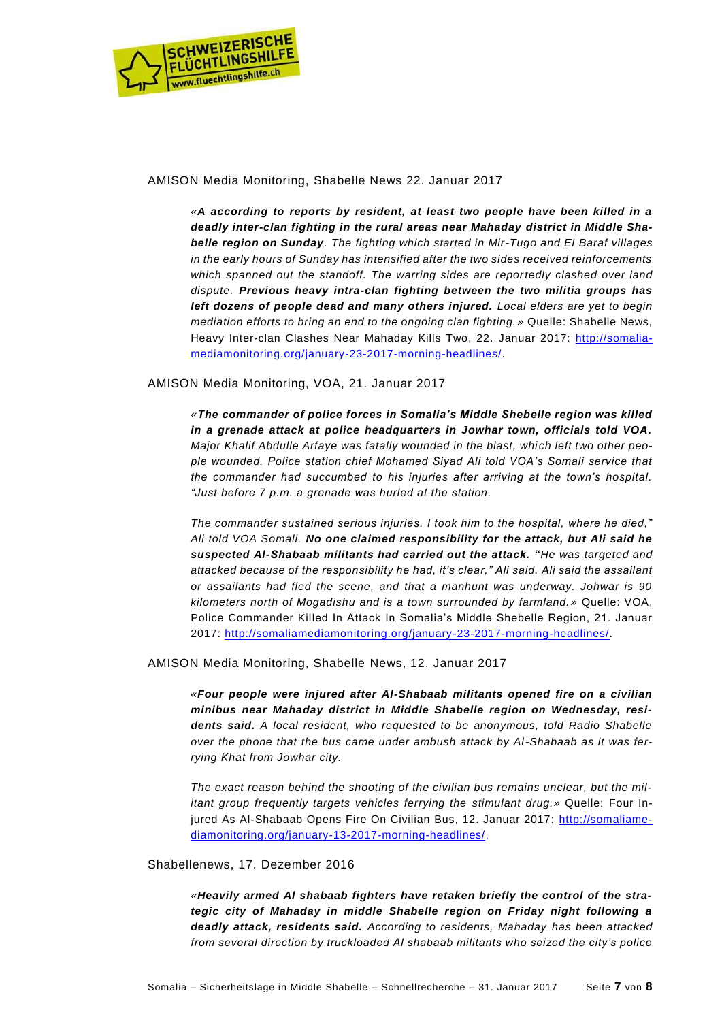

## AMISON Media Monitoring, Shabelle News 22. Januar 2017

*«A according to reports by resident, at least two people have been killed in a deadly inter-clan fighting in the rural areas near Mahaday district in Middle Shabelle region on Sunday. The fighting which started in Mir-Tugo and El Baraf villages in the early hours of Sunday has intensified after the two sides received reinforcements*  which spanned out the standoff. The warring sides are reportedly clashed over land *dispute. Previous heavy intra-clan fighting between the two militia groups has left dozens of people dead and many others injured. Local elders are yet to begin mediation efforts to bring an end to the ongoing clan fighting.* » Quelle: Shabelle News, Heavy Inter-clan Clashes Near Mahaday Kills Two, 22. Januar 2017: [http://somalia](http://somaliamediamonitoring.org/january-23-2017-morning-headlines/)[mediamonitoring.org/january-23-2017-morning-headlines/.](http://somaliamediamonitoring.org/january-23-2017-morning-headlines/)

AMISON Media Monitoring, VOA, 21. Januar 2017

*«The commander of police forces in Somalia's Middle Shebelle region was killed in a grenade attack at police headquarters in Jowhar town, officials told VOA.* Major Khalif Abdulle Arfaye was fatally wounded in the blast, which left two other peo*ple wounded. Police station chief Mohamed Siyad Ali told VOA's Somali service that the commander had succumbed to his injuries after arriving at the town's hospital. "Just before 7 p.m. a grenade was hurled at the station.*

*The commander sustained serious injuries. I took him to the hospital, where he died," Ali told VOA Somali. No one claimed responsibility for the attack, but Ali said he suspected Al-Shabaab militants had carried out the attack. "He was targeted and attacked because of the responsibility he had, it's clear," Ali said. Ali said the assailant or assailants had fled the scene, and that a manhunt was underway. Johwar is 90 kilometers north of Mogadishu and is a town surrounded by farmland. »* Quelle: VOA, Police Commander Killed In Attack In Somalia's Middle Shebelle Region, 21. Januar 2017: [http://somaliamediamonitoring.org/january-23-2017-morning-headlines/.](http://somaliamediamonitoring.org/january-23-2017-morning-headlines/)

AMISON Media Monitoring, Shabelle News, 12. Januar 2017

*«Four people were injured after Al-Shabaab militants opened fire on a civilian minibus near Mahaday district in Middle Shabelle region on Wednesday, residents said. A local resident, who requested to be anonymous, told Radio Shabelle over the phone that the bus came under ambush attack by Al-Shabaab as it was ferrying Khat from Jowhar city.*

*The exact reason behind the shooting of the civilian bus remains unclear, but the militant group frequently targets vehicles ferrying the stimulant drug.* » Quelle: Four Injured As Al-Shabaab Opens Fire On Civilian Bus, 12. Januar 2017: [http://somaliame](http://somaliamediamonitoring.org/january-13-2017-morning-headlines/)[diamonitoring.org/january-13-2017-morning-headlines/.](http://somaliamediamonitoring.org/january-13-2017-morning-headlines/)

## Shabellenews, 17. Dezember 2016

*«Heavily armed Al shabaab fighters have retaken briefly the control of the strategic city of Mahaday in middle Shabelle region on Friday night following a deadly attack, residents said. According to residents, Mahaday has been attacked from several direction by truckloaded Al shabaab militants who seized the city's police*